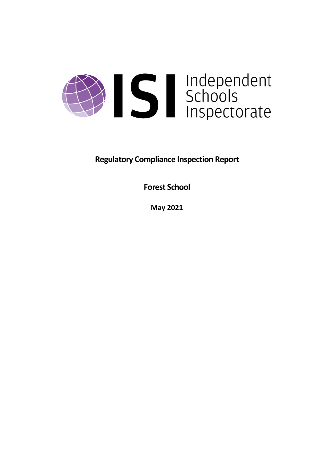

**Regulatory Compliance Inspection Report**

**Forest School**

**May 2021**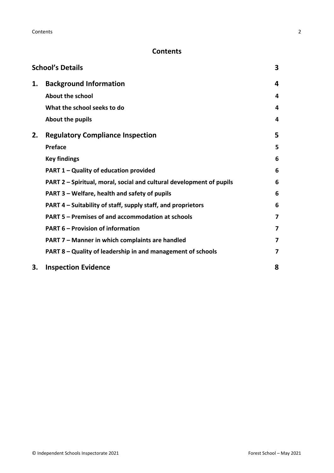# **Contents**

|    | <b>School's Details</b>                                              | 3 |
|----|----------------------------------------------------------------------|---|
| 1. | <b>Background Information</b>                                        | 4 |
|    | About the school                                                     | 4 |
|    | What the school seeks to do                                          | 4 |
|    | About the pupils                                                     | 4 |
| 2. | <b>Regulatory Compliance Inspection</b>                              | 5 |
|    | <b>Preface</b>                                                       | 5 |
|    | <b>Key findings</b>                                                  | 6 |
|    | <b>PART 1 - Quality of education provided</b>                        | 6 |
|    | PART 2 - Spiritual, moral, social and cultural development of pupils | 6 |
|    | PART 3 - Welfare, health and safety of pupils                        | 6 |
|    | PART 4 - Suitability of staff, supply staff, and proprietors         | 6 |
|    | PART 5 - Premises of and accommodation at schools                    | 7 |
|    | <b>PART 6 - Provision of information</b>                             | 7 |
|    | PART 7 - Manner in which complaints are handled                      | 7 |
|    | PART 8 - Quality of leadership in and management of schools          | 7 |
| 3. | <b>Inspection Evidence</b>                                           | 8 |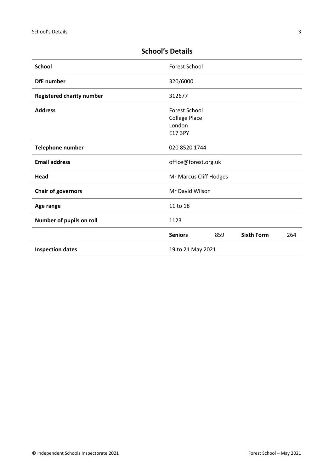| <b>School</b>                    | <b>Forest School</b>                                              |     |                   |     |
|----------------------------------|-------------------------------------------------------------------|-----|-------------------|-----|
| <b>DfE</b> number                | 320/6000                                                          |     |                   |     |
| <b>Registered charity number</b> | 312677                                                            |     |                   |     |
| <b>Address</b>                   | <b>Forest School</b><br><b>College Place</b><br>London<br>E17 3PY |     |                   |     |
| <b>Telephone number</b>          | 020 8520 1744                                                     |     |                   |     |
| <b>Email address</b>             | office@forest.org.uk                                              |     |                   |     |
| Head                             | Mr Marcus Cliff Hodges                                            |     |                   |     |
| <b>Chair of governors</b>        | Mr David Wilson                                                   |     |                   |     |
| Age range                        | 11 to 18                                                          |     |                   |     |
| Number of pupils on roll         | 1123                                                              |     |                   |     |
|                                  | <b>Seniors</b>                                                    | 859 | <b>Sixth Form</b> | 264 |
| <b>Inspection dates</b>          | 19 to 21 May 2021                                                 |     |                   |     |

# <span id="page-2-0"></span>**School's Details**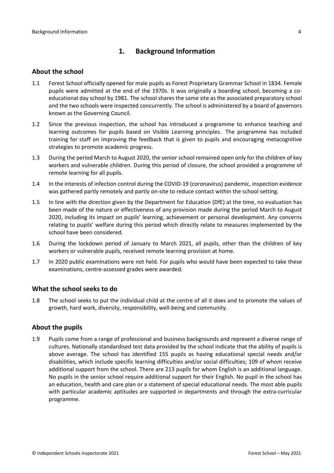# <span id="page-3-0"></span>**1. Background Information**

#### <span id="page-3-1"></span>**About the school**

- 1.1 Forest School officially opened for male pupils as Forest Proprietary Grammar School in 1834. Female pupils were admitted at the end of the 1970s. It was originally a boarding school, becoming a coeducational day school by 1981. The school shares the same site as the associated preparatory school and the two schools were inspected concurrently. The school is administered by a board of governors known as the Governing Council.
- 1.2 Since the previous inspection, the school has introduced a programme to enhance teaching and learning outcomes for pupils based on Visible Learning principles. The programme has included training for staff on improving the feedback that is given to pupils and encouraging metacognitive strategies to promote academic progress.
- 1.3 During the period March to August 2020, the senior school remained open only for the children of key workers and vulnerable children. During this period of closure, the school provided a programme of remote learning for all pupils.
- 1.4 In the interests of infection control during the COVID-19 (coronavirus) pandemic, inspection evidence was gathered partly remotely and partly on-site to reduce contact within the school setting.
- 1.5 In line with the direction given by the Department for Education (DfE) at the time, no evaluation has been made of the nature or effectiveness of any provision made during the period March to August 2020, including its impact on pupils' learning, achievement or personal development. Any concerns relating to pupils' welfare during this period which directly relate to measures implemented by the school have been considered.
- 1.6 During the lockdown period of January to March 2021, all pupils, other than the children of key workers or vulnerable pupils, received remote learning provision at home.
- 1.7 In 2020 public examinations were not held. For pupils who would have been expected to take these examinations, centre-assessed grades were awarded.

#### <span id="page-3-2"></span>**What the school seeks to do**

1.8 The school seeks to put the individual child at the centre of all it does and to promote the values of growth, hard work, diversity, responsibility, well-being and community.

#### <span id="page-3-3"></span>**About the pupils**

1.9 Pupils come from a range of professional and business backgrounds and represent a diverse range of cultures. Nationally standardised test data provided by the school indicate that the ability of pupils is above average. The school has identified 155 pupils as having educational special needs and/or disabilities, which include specific learning difficulties and/or social difficulties; 109 of whom receive additional support from the school. There are 213 pupils for whom English is an additional language. No pupils in the senior school require additional support for their English. No pupil in the school has an education, health and care plan or a statement of special educational needs. The most able pupils with particular academic aptitudes are supported in departments and through the extra-curricular programme.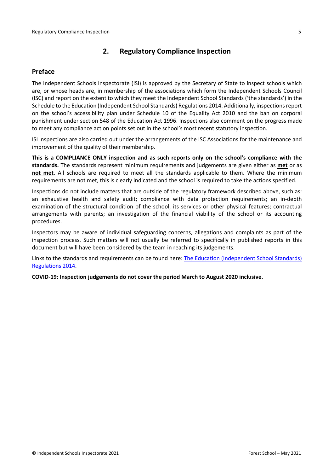## <span id="page-4-0"></span>**2. Regulatory Compliance Inspection**

#### <span id="page-4-1"></span>**Preface**

The Independent Schools Inspectorate (ISI) is approved by the Secretary of State to inspect schools which are, or whose heads are, in membership of the associations which form the Independent Schools Council (ISC) and report on the extent to which they meet the Independent School Standards ('the standards') in the Schedule to the Education (Independent School Standards) Regulations 2014. Additionally, inspectionsreport on the school's accessibility plan under Schedule 10 of the Equality Act 2010 and the ban on corporal punishment under section 548 of the Education Act 1996. Inspections also comment on the progress made to meet any compliance action points set out in the school's most recent statutory inspection.

ISI inspections are also carried out under the arrangements of the ISC Associations for the maintenance and improvement of the quality of their membership.

**This is a COMPLIANCE ONLY inspection and as such reports only on the school's compliance with the standards.** The standards represent minimum requirements and judgements are given either as **met** or as **not met**. All schools are required to meet all the standards applicable to them. Where the minimum requirements are not met, this is clearly indicated and the school is required to take the actions specified.

Inspections do not include matters that are outside of the regulatory framework described above, such as: an exhaustive health and safety audit; compliance with data protection requirements; an in-depth examination of the structural condition of the school, its services or other physical features; contractual arrangements with parents; an investigation of the financial viability of the school or its accounting procedures.

Inspectors may be aware of individual safeguarding concerns, allegations and complaints as part of the inspection process. Such matters will not usually be referred to specifically in published reports in this document but will have been considered by the team in reaching its judgements.

Links to the standards and requirements can be found here: The Education [\(Independent](http://www.legislation.gov.uk/uksi/2014/3283/contents/made) School Standards) [Regulations](http://www.legislation.gov.uk/uksi/2014/3283/contents/made) 2014.

**COVID-19: Inspection judgements do not cover the period March to August 2020 inclusive.**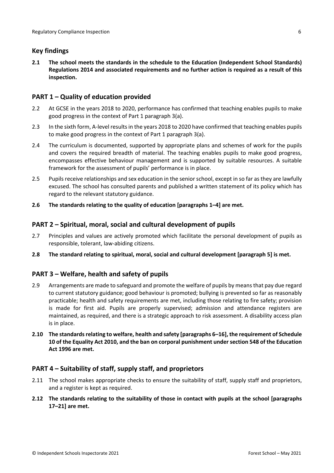## <span id="page-5-0"></span>**Key findings**

**2.1 The school meets the standards in the schedule to the Education (Independent School Standards) Regulations 2014 and associated requirements and no further action is required as a result of this inspection.**

#### <span id="page-5-1"></span>**PART 1 – Quality of education provided**

- 2.2 At GCSE in the years 2018 to 2020, performance has confirmed that teaching enables pupils to make good progress in the context of Part 1 paragraph 3(a).
- 2.3 In the sixth form, A-level results in the years 2018 to 2020 have confirmed that teaching enables pupils to make good progress in the context of Part 1 paragraph 3(a).
- 2.4 The curriculum is documented, supported by appropriate plans and schemes of work for the pupils and covers the required breadth of material. The teaching enables pupils to make good progress, encompasses effective behaviour management and is supported by suitable resources. A suitable framework for the assessment of pupils' performance is in place.
- 2.5 Pupils receive relationships and sex education in the senior school, except in so far as they are lawfully excused. The school has consulted parents and published a written statement of its policy which has regard to the relevant statutory guidance.
- **2.6 The standards relating to the quality of education [paragraphs 1–4] are met.**

### <span id="page-5-2"></span>**PART 2 – Spiritual, moral, social and cultural development of pupils**

- 2.7 Principles and values are actively promoted which facilitate the personal development of pupils as responsible, tolerant, law-abiding citizens.
- **2.8 The standard relating to spiritual, moral, social and cultural development [paragraph 5] is met.**

## <span id="page-5-3"></span>**PART 3 – Welfare, health and safety of pupils**

- 2.9 Arrangements are made to safeguard and promote the welfare of pupils by means that pay due regard to current statutory guidance; good behaviour is promoted; bullying is prevented so far as reasonably practicable; health and safety requirements are met, including those relating to fire safety; provision is made for first aid. Pupils are properly supervised; admission and attendance registers are maintained, as required, and there is a strategic approach to risk assessment. A disability access plan is in place.
- **2.10 The standardsrelating to welfare, health and safety [paragraphs 6–16], the requirement of Schedule 10 of the Equality Act 2010, and the ban on corporal punishment undersection 548 of the Education Act 1996 are met.**

#### <span id="page-5-4"></span>**PART 4 – Suitability of staff, supply staff, and proprietors**

- 2.11 The school makes appropriate checks to ensure the suitability of staff, supply staff and proprietors, and a register is kept as required.
- **2.12 The standards relating to the suitability of those in contact with pupils at the school [paragraphs 17–21] are met.**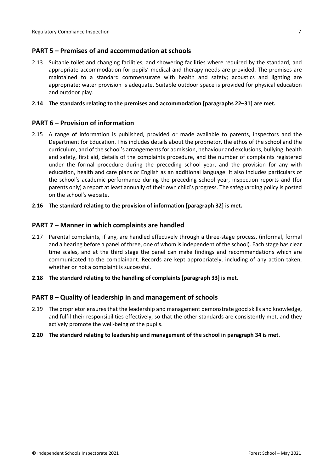#### <span id="page-6-0"></span>**PART 5 – Premises of and accommodation at schools**

2.13 Suitable toilet and changing facilities, and showering facilities where required by the standard, and appropriate accommodation for pupils' medical and therapy needs are provided. The premises are maintained to a standard commensurate with health and safety; acoustics and lighting are appropriate; water provision is adequate. Suitable outdoor space is provided for physical education and outdoor play.

#### **2.14 The standards relating to the premises and accommodation [paragraphs 22–31] are met.**

#### <span id="page-6-1"></span>**PART 6 – Provision of information**

- 2.15 A range of information is published, provided or made available to parents, inspectors and the Department for Education. This includes details about the proprietor, the ethos of the school and the curriculum, and of the school's arrangementsfor admission, behaviour and exclusions, bullying, health and safety, first aid, details of the complaints procedure, and the number of complaints registered under the formal procedure during the preceding school year, and the provision for any with education, health and care plans or English as an additional language. It also includes particulars of the school's academic performance during the preceding school year, inspection reports and (for parents only) a report at least annually of their own child's progress. The safeguarding policy is posted on the school's website.
- **2.16 The standard relating to the provision of information [paragraph 32] is met.**

#### <span id="page-6-2"></span>**PART 7 – Manner in which complaints are handled**

- 2.17 Parental complaints, if any, are handled effectively through a three-stage process, (informal, formal and a hearing before a panel of three, one of whom is independent of the school). Each stage has clear time scales, and at the third stage the panel can make findings and recommendations which are communicated to the complainant. Records are kept appropriately, including of any action taken, whether or not a complaint is successful.
- **2.18 The standard relating to the handling of complaints [paragraph 33] is met.**

#### <span id="page-6-3"></span>**PART 8 – Quality of leadership in and management of schools**

- 2.19 The proprietor ensures that the leadership and management demonstrate good skills and knowledge, and fulfil their responsibilities effectively, so that the other standards are consistently met, and they actively promote the well-being of the pupils.
- **2.20 The standard relating to leadership and management of the school in paragraph 34 is met.**